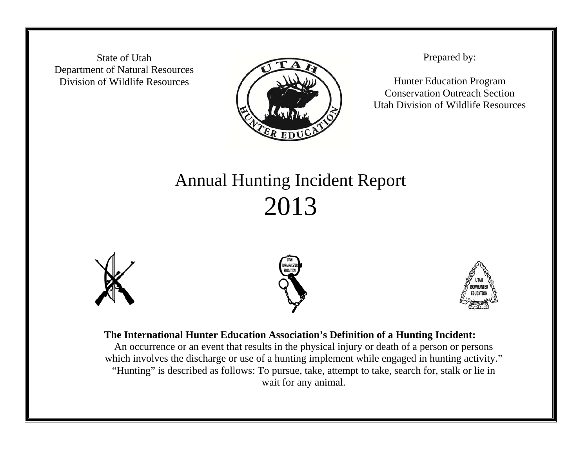State of Utah Department of Natural Resources Division of Wildlife Resources



Prepared by:

Hunter Education Program Conservation Outreach Section Utah Division of Wildlife Resources

## Annual Hunting Incident Report 2013







## **The International Hunter Education Association's Definition of a Hunting Incident:**

An occurrence or an event that results in the physical injury or death of a person or persons which involves the discharge or use of a hunting implement while engaged in hunting activity." "Hunting" is described as follows: To pursue, take, attempt to take, search for, stalk or lie in wait for any animal.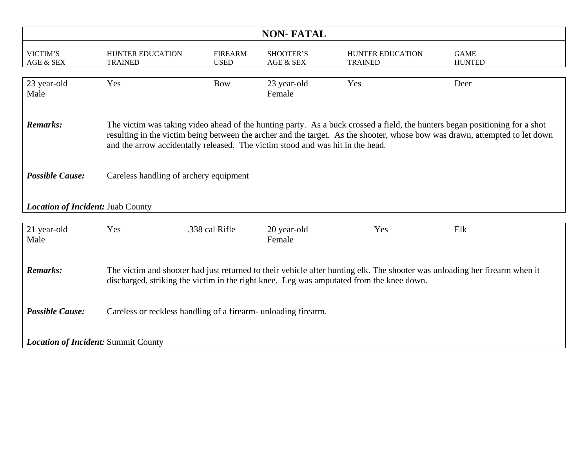| <b>NON-FATAL</b>                           |                                                                                                                                                                                                                                                                                                                                              |                               |                        |                                    |                              |  |  |  |  |
|--------------------------------------------|----------------------------------------------------------------------------------------------------------------------------------------------------------------------------------------------------------------------------------------------------------------------------------------------------------------------------------------------|-------------------------------|------------------------|------------------------------------|------------------------------|--|--|--|--|
| VICTIM'S<br>AGE & SEX                      | <b>HUNTER EDUCATION</b><br><b>TRAINED</b>                                                                                                                                                                                                                                                                                                    | <b>FIREARM</b><br><b>USED</b> | SHOOTER'S<br>AGE & SEX | HUNTER EDUCATION<br><b>TRAINED</b> | <b>GAME</b><br><b>HUNTED</b> |  |  |  |  |
| 23 year-old<br>Male                        | Yes                                                                                                                                                                                                                                                                                                                                          | <b>Bow</b>                    | 23 year-old<br>Female  | Yes                                | Deer                         |  |  |  |  |
| <b>Remarks:</b>                            | The victim was taking video ahead of the hunting party. As a buck crossed a field, the hunters began positioning for a shot<br>resulting in the victim being between the archer and the target. As the shooter, whose bow was drawn, attempted to let down<br>and the arrow accidentally released. The victim stood and was hit in the head. |                               |                        |                                    |                              |  |  |  |  |
| <b>Possible Cause:</b>                     | Careless handling of archery equipment                                                                                                                                                                                                                                                                                                       |                               |                        |                                    |                              |  |  |  |  |
| <b>Location of Incident: Juab County</b>   |                                                                                                                                                                                                                                                                                                                                              |                               |                        |                                    |                              |  |  |  |  |
| 21 year-old<br>Male                        | Yes                                                                                                                                                                                                                                                                                                                                          | .338 cal Rifle                | 20 year-old<br>Female  | Yes                                | Elk                          |  |  |  |  |
| <b>Remarks:</b>                            | The victim and shooter had just returned to their vehicle after hunting elk. The shooter was unloading her firearm when it<br>discharged, striking the victim in the right knee. Leg was amputated from the knee down.                                                                                                                       |                               |                        |                                    |                              |  |  |  |  |
| <b>Possible Cause:</b>                     | Careless or reckless handling of a firearm- unloading firearm.                                                                                                                                                                                                                                                                               |                               |                        |                                    |                              |  |  |  |  |
| <b>Location of Incident: Summit County</b> |                                                                                                                                                                                                                                                                                                                                              |                               |                        |                                    |                              |  |  |  |  |